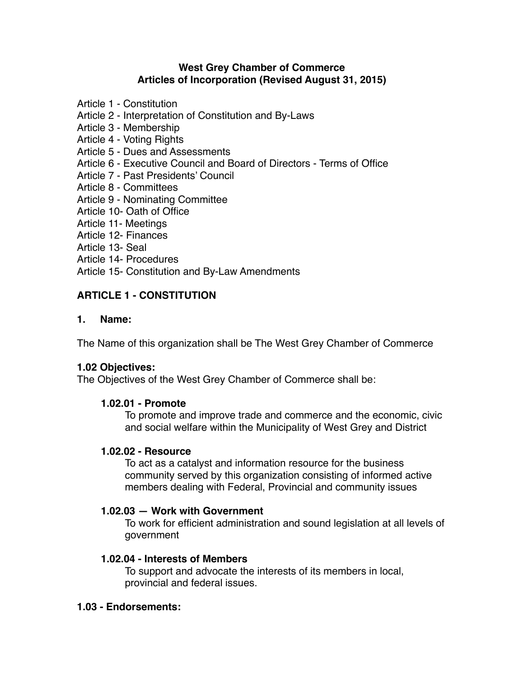- Article 1 Constitution
- Article 2 Interpretation of Constitution and By-Laws
- Article 3 Membership
- Article 4 Voting Rights
- Article 5 Dues and Assessments
- Article 6 Executive Council and Board of Directors Terms of Office
- Article 7 Past Presidents' Council
- Article 8 Committees
- Article 9 Nominating Committee
- Article 10- Oath of Office
- Article 11- Meetings
- Article 12- Finances
- Article 13- Seal
- Article 14- Procedures

Article 15- Constitution and By-Law Amendments

# **ARTICLE 1 - CONSTITUTION**

#### **1. Name:**

The Name of this organization shall be The West Grey Chamber of Commerce

#### **1.02 Objectives:**

The Objectives of the West Grey Chamber of Commerce shall be:

#### **1.02.01 - Promote**

To promote and improve trade and commerce and the economic, civic and social welfare within the Municipality of West Grey and District

#### **1.02.02 - Resource**

To act as a catalyst and information resource for the business community served by this organization consisting of informed active members dealing with Federal, Provincial and community issues

#### **1.02.03 — Work with Government**

To work for efficient administration and sound legislation at all levels of government

#### **1.02.04 - Interests of Members**

To support and advocate the interests of its members in local, provincial and federal issues.

#### **1.03 - Endorsements:**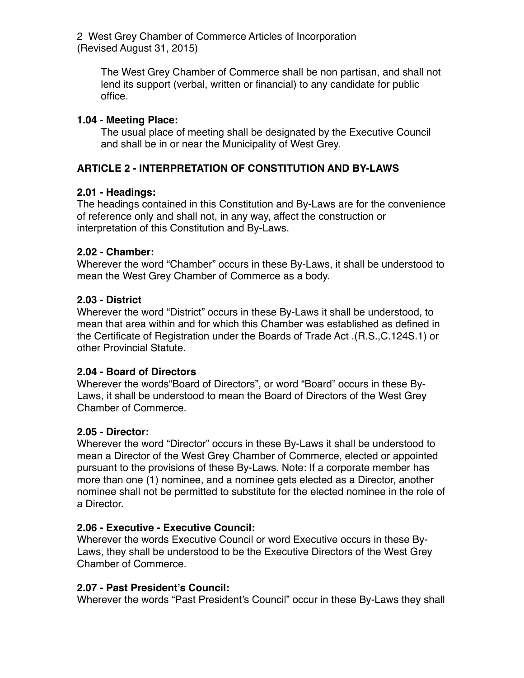The West Grey Chamber of Commerce shall be non partisan, and shall not lend its support (verbal, written or financial) to any candidate for public office.

#### **1.04 - Meeting Place:**

The usual place of meeting shall be designated by the Executive Council and shall be in or near the Municipality of West Grey.

# **ARTICLE 2 - INTERPRETATION OF CONSTITUTION AND BY-LAWS**

# **2.01 - Headings:**

The headings contained in this Constitution and By-Laws are for the convenience of reference only and shall not, in any way, affect the construction or interpretation of this Constitution and By-Laws.

#### **2.02 - Chamber:**

Wherever the word "Chamber" occurs in these By-Laws, it shall be understood to mean the West Grey Chamber of Commerce as a body.

#### **2.03 - District**

Wherever the word "District" occurs in these By-Laws it shall be understood, to mean that area within and for which this Chamber was established as defined in the Certificate of Registration under the Boards of Trade Act .(R.S.,C.124S.1) or other Provincial Statute.

#### **2.04 - Board of Directors**

Wherever the words"Board of Directors", or word "Board" occurs in these By-Laws, it shall be understood to mean the Board of Directors of the West Grey Chamber of Commerce.

# **2.05 - Director:**

Wherever the word "Director" occurs in these By-Laws it shall be understood to mean a Director of the West Grey Chamber of Commerce, elected or appointed pursuant to the provisions of these By-Laws. Note: If a corporate member has more than one (1) nominee, and a nominee gets elected as a Director, another nominee shall not be permitted to substitute for the elected nominee in the role of a Director.

# **2.06 - Executive - Executive Council:**

Wherever the words Executive Council or word Executive occurs in these By-Laws, they shall be understood to be the Executive Directors of the West Grey Chamber of Commerce.

# **2.07 - Past President's Council:**

Wherever the words "Past President's Council" occur in these By-Laws they shall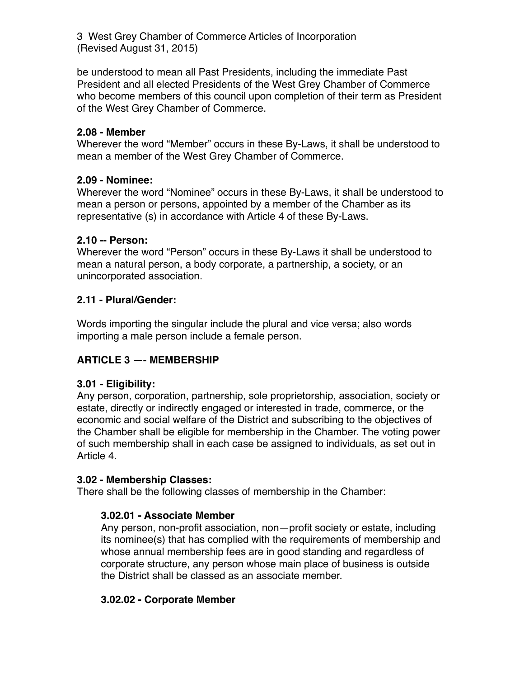be understood to mean all Past Presidents, including the immediate Past President and all elected Presidents of the West Grey Chamber of Commerce who become members of this council upon completion of their term as President of the West Grey Chamber of Commerce.

#### **2.08 - Member**

Wherever the word "Member" occurs in these By-Laws, it shall be understood to mean a member of the West Grey Chamber of Commerce.

# **2.09 - Nominee:**

Wherever the word "Nominee" occurs in these By-Laws, it shall be understood to mean a person or persons, appointed by a member of the Chamber as its representative (s) in accordance with Article 4 of these By-Laws.

#### **2.10 -- Person:**

Wherever the word "Person" occurs in these By-Laws it shall be understood to mean a natural person, a body corporate, a partnership, a society, or an unincorporated association.

# **2.11 - Plural/Gender:**

Words importing the singular include the plural and vice versa; also words importing a male person include a female person.

# **ARTICLE 3 —- MEMBERSHIP**

# **3.01 - Eligibility:**

Any person, corporation, partnership, sole proprietorship, association, society or estate, directly or indirectly engaged or interested in trade, commerce, or the economic and social welfare of the District and subscribing to the objectives of the Chamber shall be eligible for membership in the Chamber. The voting power of such membership shall in each case be assigned to individuals, as set out in Article 4.

#### **3.02 - Membership Classes:**

There shall be the following classes of membership in the Chamber:

# **3.02.01 - Associate Member**

Any person, non-profit association, non—profit society or estate, including its nominee(s) that has complied with the requirements of membership and whose annual membership fees are in good standing and regardless of corporate structure, any person whose main place of business is outside the District shall be classed as an associate member.

# **3.02.02 - Corporate Member**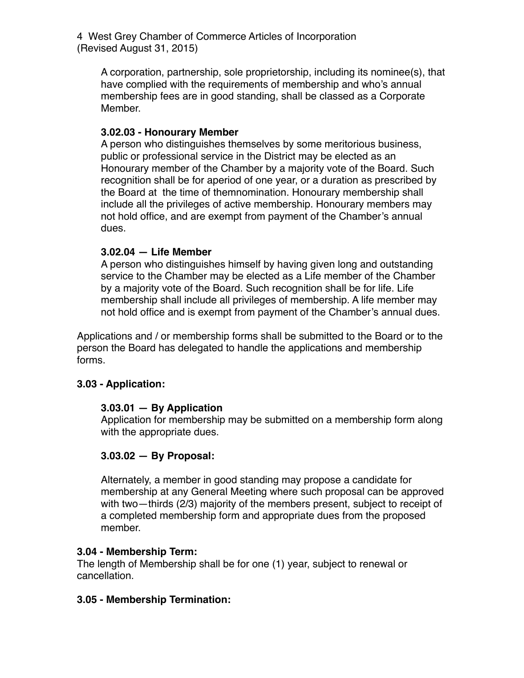A corporation, partnership, sole proprietorship, including its nominee(s), that have complied with the requirements of membership and who's annual membership fees are in good standing, shall be classed as a Corporate Member.

#### **3.02.03 - Honourary Member**

A person who distinguishes themselves by some meritorious business, public or professional service in the District may be elected as an Honourary member of the Chamber by a majority vote of the Board. Such recognition shall be for aperiod of one year, or a duration as prescribed by the Board at the time of themnomination. Honourary membership shall include all the privileges of active membership. Honourary members may not hold office, and are exempt from payment of the Chamber's annual dues.

#### **3.02.04 — Life Member**

A person who distinguishes himself by having given long and outstanding service to the Chamber may be elected as a Life member of the Chamber by a majority vote of the Board. Such recognition shall be for life. Life membership shall include all privileges of membership. A life member may not hold office and is exempt from payment of the Chamber's annual dues.

Applications and / or membership forms shall be submitted to the Board or to the person the Board has delegated to handle the applications and membership forms.

# **3.03 - Application:**

#### **3.03.01 — By Application**

Application for membership may be submitted on a membership form along with the appropriate dues.

# **3.03.02 — By Proposal:**

Alternately, a member in good standing may propose a candidate for membership at any General Meeting where such proposal can be approved with two—thirds (2/3) majority of the members present, subject to receipt of a completed membership form and appropriate dues from the proposed member.

#### **3.04 - Membership Term:**

The length of Membership shall be for one (1) year, subject to renewal or cancellation.

# **3.05 - Membership Termination:**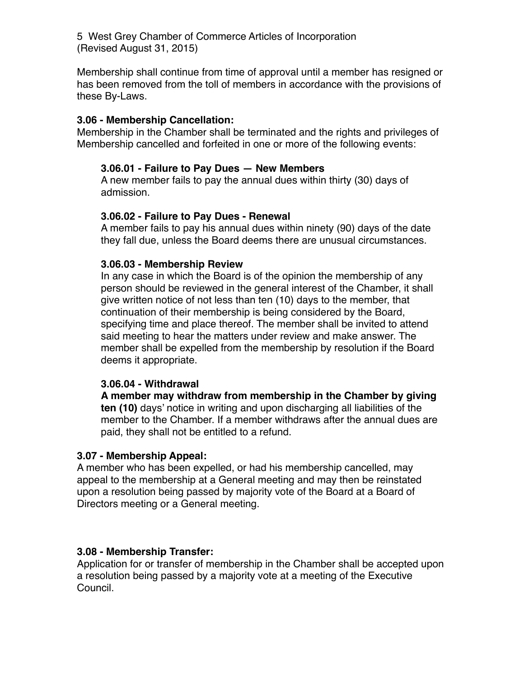Membership shall continue from time of approval until a member has resigned or has been removed from the toll of members in accordance with the provisions of these By-Laws.

#### **3.06 - Membership Cancellation:**

Membership in the Chamber shall be terminated and the rights and privileges of Membership cancelled and forfeited in one or more of the following events:

#### **3.06.01 - Failure to Pay Dues — New Members**

A new member fails to pay the annual dues within thirty (30) days of admission.

#### **3.06.02 - Failure to Pay Dues - Renewal**

A member fails to pay his annual dues within ninety (90) days of the date they fall due, unless the Board deems there are unusual circumstances.

# **3.06.03 - Membership Review**

In any case in which the Board is of the opinion the membership of any person should be reviewed in the general interest of the Chamber, it shall give written notice of not less than ten (10) days to the member, that continuation of their membership is being considered by the Board, specifying time and place thereof. The member shall be invited to attend said meeting to hear the matters under review and make answer. The member shall be expelled from the membership by resolution if the Board deems it appropriate.

#### **3.06.04 - Withdrawal**

**A member may withdraw from membership in the Chamber by giving ten (10)** days' notice in writing and upon discharging all liabilities of the member to the Chamber. If a member withdraws after the annual dues are paid, they shall not be entitled to a refund.

#### **3.07 - Membership Appeal:**

A member who has been expelled, or had his membership cancelled, may appeal to the membership at a General meeting and may then be reinstated upon a resolution being passed by majority vote of the Board at a Board of Directors meeting or a General meeting.

#### **3.08 - Membership Transfer:**

Application for or transfer of membership in the Chamber shall be accepted upon a resolution being passed by a majority vote at a meeting of the Executive Council.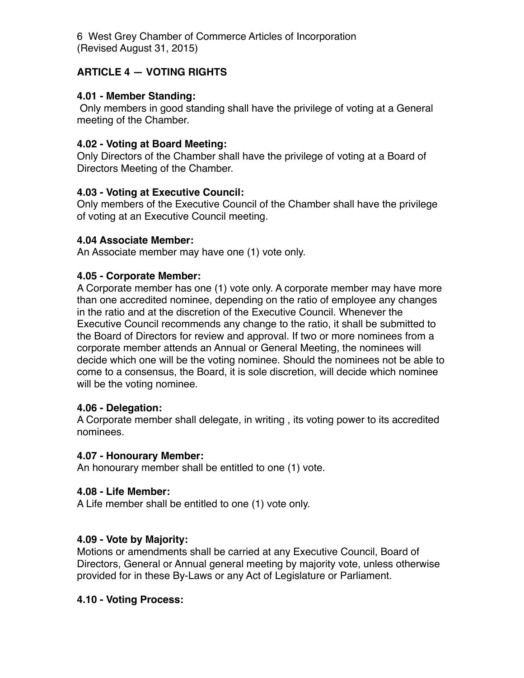# **ARTICLE 4 — VOTING RIGHTS**

# **4.01 - Member Standing:**

 Only members in good standing shall have the privilege of voting at a General meeting of the Chamber.

# **4.02 - Voting at Board Meeting:**

Only Directors of the Chamber shall have the privilege of voting at a Board of Directors Meeting of the Chamber.

# **4.03 - Voting at Executive Council:**

Only members of the Executive Council of the Chamber shall have the privilege of voting at an Executive Council meeting.

# **4.04 Associate Member:**

An Associate member may have one (1) vote only.

# **4.05 - Corporate Member:**

A Corporate member has one (1) vote only. A corporate member may have more than one accredited nominee, depending on the ratio of employee any changes in the ratio and at the discretion of the Executive Council. Whenever the Executive Council recommends any change to the ratio, it shall be submitted to the Board of Directors for review and approval. If two or more nominees from a corporate member attends an Annual or General Meeting, the nominees will decide which one will be the voting nominee. Should the nominees not be able to come to a consensus, the Board, it is sole discretion, will decide which nominee will be the voting nominee.

# **4.06 - Delegation:**

A Corporate member shall delegate, in writing , its voting power to its accredited nominees.

# **4.07 - Honourary Member:**

An honourary member shall be entitled to one (1) vote.

# **4.08 - Life Member:**

A Life member shall be entitled to one (1) vote only.

# **4.09 - Vote by Majority:**

Motions or amendments shall be carried at any Executive Council, Board of Directors, General or Annual general meeting by majority vote, unless otherwise provided for in these By-Laws or any Act of Legislature or Parliament.

# **4.10 - Voting Process:**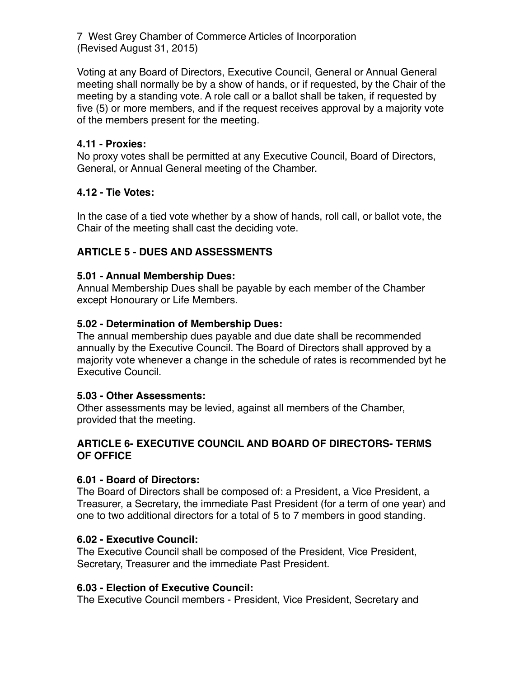Voting at any Board of Directors, Executive Council, General or Annual General meeting shall normally be by a show of hands, or if requested, by the Chair of the meeting by a standing vote. A role call or a ballot shall be taken, if requested by five (5) or more members, and if the request receives approval by a majority vote of the members present for the meeting.

#### **4.11 - Proxies:**

No proxy votes shall be permitted at any Executive Council, Board of Directors, General, or Annual General meeting of the Chamber.

# **4.12 - Tie Votes:**

In the case of a tied vote whether by a show of hands, roll call, or ballot vote, the Chair of the meeting shall cast the deciding vote.

# **ARTICLE 5 - DUES AND ASSESSMENTS**

#### **5.01 - Annual Membership Dues:**

Annual Membership Dues shall be payable by each member of the Chamber except Honourary or Life Members.

# **5.02 - Determination of Membership Dues:**

The annual membership dues payable and due date shall be recommended annually by the Executive Council. The Board of Directors shall approved by a majority vote whenever a change in the schedule of rates is recommended byt he Executive Council.

#### **5.03 - Other Assessments:**

Other assessments may be levied, against all members of the Chamber, provided that the meeting.

#### **ARTICLE 6- EXECUTIVE COUNCIL AND BOARD OF DIRECTORS- TERMS OF OFFICE**

#### **6.01 - Board of Directors:**

The Board of Directors shall be composed of: a President, a Vice President, a Treasurer, a Secretary, the immediate Past President (for a term of one year) and one to two additional directors for a total of 5 to 7 members in good standing.

#### **6.02 - Executive Council:**

The Executive Council shall be composed of the President, Vice President, Secretary, Treasurer and the immediate Past President.

# **6.03 - Election of Executive Council:**

The Executive Council members - President, Vice President, Secretary and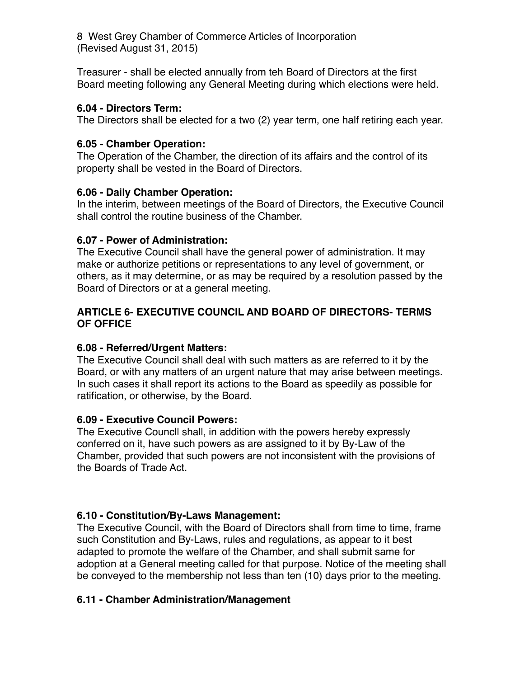Treasurer - shall be elected annually from teh Board of Directors at the first Board meeting following any General Meeting during which elections were held.

# **6.04 - Directors Term:**

The Directors shall be elected for a two (2) year term, one half retiring each year.

# **6.05 - Chamber Operation:**

The Operation of the Chamber, the direction of its affairs and the control of its property shall be vested in the Board of Directors.

# **6.06 - Daily Chamber Operation:**

In the interim, between meetings of the Board of Directors, the Executive Council shall control the routine business of the Chamber.

# **6.07 - Power of Administration:**

The Executive Council shall have the general power of administration. It may make or authorize petitions or representations to any level of government, or others, as it may determine, or as may be required by a resolution passed by the Board of Directors or at a general meeting.

#### **ARTICLE 6- EXECUTIVE COUNCIL AND BOARD OF DIRECTORS- TERMS OF OFFICE**

# **6.08 - Referred/Urgent Matters:**

The Executive Council shall deal with such matters as are referred to it by the Board, or with any matters of an urgent nature that may arise between meetings. In such cases it shall report its actions to the Board as speedily as possible for ratification, or otherwise, by the Board.

# **6.09 - Executive Council Powers:**

The Executive Councll shall, in addition with the powers hereby expressly conferred on it, have such powers as are assigned to it by By-Law of the Chamber, provided that such powers are not inconsistent with the provisions of the Boards of Trade Act.

# **6.10 - Constitution/By-Laws Management:**

The Executive Council, with the Board of Directors shall from time to time, frame such Constitution and By-Laws, rules and regulations, as appear to it best adapted to promote the welfare of the Chamber, and shall submit same for adoption at a General meeting called for that purpose. Notice of the meeting shall be conveyed to the membership not less than ten (10) days prior to the meeting.

# **6.11 - Chamber Administration/Management**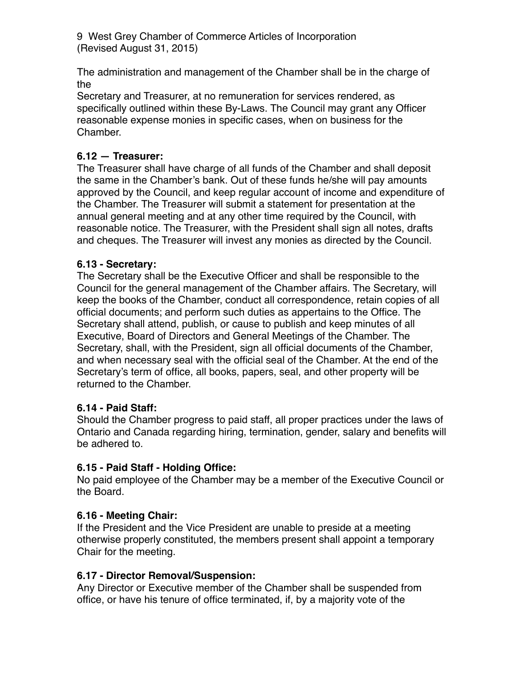The administration and management of the Chamber shall be in the charge of the

Secretary and Treasurer, at no remuneration for services rendered, as specifically outlined within these By-Laws. The Council may grant any Officer reasonable expense monies in specific cases, when on business for the Chamber.

# **6.12 — Treasurer:**

The Treasurer shall have charge of all funds of the Chamber and shall deposit the same in the Chamber's bank. Out of these funds he/she will pay amounts approved by the Council, and keep regular account of income and expenditure of the Chamber. The Treasurer will submit a statement for presentation at the annual general meeting and at any other time required by the Council, with reasonable notice. The Treasurer, with the President shall sign all notes, drafts and cheques. The Treasurer will invest any monies as directed by the Council.

# **6.13 - Secretary:**

The Secretary shall be the Executive Officer and shall be responsible to the Council for the general management of the Chamber affairs. The Secretary, will keep the books of the Chamber, conduct all correspondence, retain copies of all official documents; and perform such duties as appertains to the Office. The Secretary shall attend, publish, or cause to publish and keep minutes of all Executive, Board of Directors and General Meetings of the Chamber. The Secretary, shall, with the President, sign all official documents of the Chamber, and when necessary seal with the official seal of the Chamber. At the end of the Secretary's term of office, all books, papers, seal, and other property will be returned to the Chamber.

# **6.14 - Paid Staff:**

Should the Chamber progress to paid staff, all proper practices under the laws of Ontario and Canada regarding hiring, termination, gender, salary and benefits will be adhered to.

# **6.15 - Paid Staff - Holding Office:**

No paid employee of the Chamber may be a member of the Executive Council or the Board.

# **6.16 - Meeting Chair:**

If the President and the Vice President are unable to preside at a meeting otherwise properly constituted, the members present shall appoint a temporary Chair for the meeting.

# **6.17 - Director Removal/Suspension:**

Any Director or Executive member of the Chamber shall be suspended from office, or have his tenure of office terminated, if, by a majority vote of the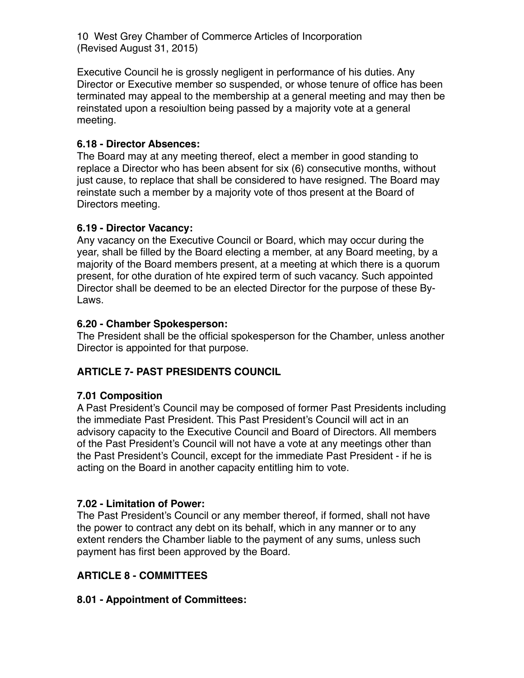Executive Council he is grossly negligent in performance of his duties. Any Director or Executive member so suspended, or whose tenure of office has been terminated may appeal to the membership at a general meeting and may then be reinstated upon a resoiultion being passed by a majority vote at a general meeting.

# **6.18 - Director Absences:**

The Board may at any meeting thereof, elect a member in good standing to replace a Director who has been absent for six (6) consecutive months, without just cause, to replace that shall be considered to have resigned. The Board may reinstate such a member by a majority vote of thos present at the Board of Directors meeting.

# **6.19 - Director Vacancy:**

Any vacancy on the Executive Council or Board, which may occur during the year, shall be filled by the Board electing a member, at any Board meeting, by a majority of the Board members present, at a meeting at which there is a quorum present, for othe duration of hte expired term of such vacancy. Such appointed Director shall be deemed to be an elected Director for the purpose of these By-Laws.

# **6.20 - Chamber Spokesperson:**

The President shall be the official spokesperson for the Chamber, unless another Director is appointed for that purpose.

# **ARTICLE 7- PAST PRESIDENTS COUNCIL**

# **7.01 Composition**

A Past President's Council may be composed of former Past Presidents including the immediate Past President. This Past President's Council will act in an advisory capacity to the Executive Council and Board of Directors. All members of the Past President's Council will not have a vote at any meetings other than the Past President's Council, except for the immediate Past President - if he is acting on the Board in another capacity entitling him to vote.

# **7.02 - Limitation of Power:**

The Past President's Council or any member thereof, if formed, shall not have the power to contract any debt on its behalf, which in any manner or to any extent renders the Chamber liable to the payment of any sums, unless such payment has first been approved by the Board.

# **ARTICLE 8 - COMMITTEES**

# **8.01 - Appointment of Committees:**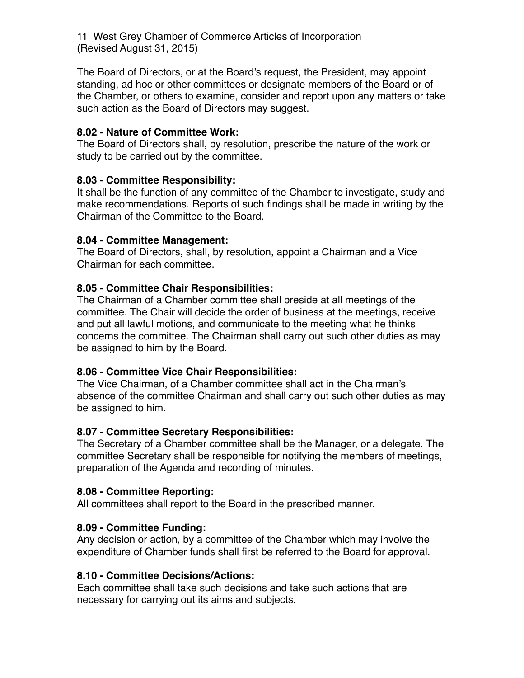The Board of Directors, or at the Board's request, the President, may appoint standing, ad hoc or other committees or designate members of the Board or of the Chamber, or others to examine, consider and report upon any matters or take such action as the Board of Directors may suggest.

#### **8.02 - Nature of Committee Work:**

The Board of Directors shall, by resolution, prescribe the nature of the work or study to be carried out by the committee.

#### **8.03 - Committee Responsibility:**

It shall be the function of any committee of the Chamber to investigate, study and make recommendations. Reports of such findings shall be made in writing by the Chairman of the Committee to the Board.

#### **8.04 - Committee Management:**

The Board of Directors, shall, by resolution, appoint a Chairman and a Vice Chairman for each committee.

#### **8.05 - Committee Chair Responsibilities:**

The Chairman of a Chamber committee shall preside at all meetings of the committee. The Chair will decide the order of business at the meetings, receive and put all lawful motions, and communicate to the meeting what he thinks concerns the committee. The Chairman shall carry out such other duties as may be assigned to him by the Board.

# **8.06 - Committee Vice Chair Responsibilities:**

The Vice Chairman, of a Chamber committee shall act in the Chairman's absence of the committee Chairman and shall carry out such other duties as may be assigned to him.

#### **8.07 - Committee Secretary Responsibilities:**

The Secretary of a Chamber committee shall be the Manager, or a delegate. The committee Secretary shall be responsible for notifying the members of meetings, preparation of the Agenda and recording of minutes.

#### **8.08 - Committee Reporting:**

All committees shall report to the Board in the prescribed manner.

# **8.09 - Committee Funding:**

Any decision or action, by a committee of the Chamber which may involve the expenditure of Chamber funds shall first be referred to the Board for approval.

#### **8.10 - Committee Decisions/Actions:**

Each committee shall take such decisions and take such actions that are necessary for carrying out its aims and subjects.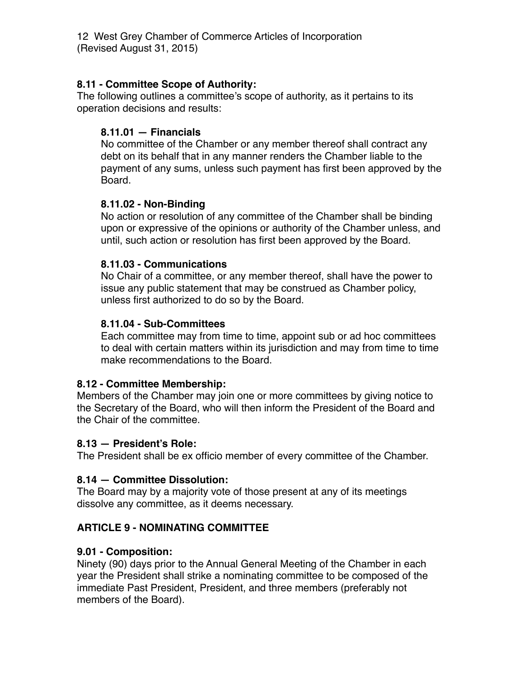#### **8.11 - Committee Scope of Authority:**

The following outlines a committee's scope of authority, as it pertains to its operation decisions and results:

#### **8.11.01 — Financials**

No committee of the Chamber or any member thereof shall contract any debt on its behalf that in any manner renders the Chamber liable to the payment of any sums, unless such payment has first been approved by the Board.

#### **8.11.02 - Non-Binding**

No action or resolution of any committee of the Chamber shall be binding upon or expressive of the opinions or authority of the Chamber unless, and until, such action or resolution has first been approved by the Board.

#### **8.11.03 - Communications**

No Chair of a committee, or any member thereof, shall have the power to issue any public statement that may be construed as Chamber policy, unless first authorized to do so by the Board.

#### **8.11.04 - Sub-Committees**

Each committee may from time to time, appoint sub or ad hoc committees to deal with certain matters within its jurisdiction and may from time to time make recommendations to the Board.

# **8.12 - Committee Membership:**

Members of the Chamber may join one or more committees by giving notice to the Secretary of the Board, who will then inform the President of the Board and the Chair of the committee.

#### **8.13 — President's Role:**

The President shall be ex officio member of every committee of the Chamber.

# **8.14 — Committee Dissolution:**

The Board may by a majority vote of those present at any of its meetings dissolve any committee, as it deems necessary.

# **ARTICLE 9 - NOMINATING COMMITTEE**

# **9.01 - Composition:**

Ninety (90) days prior to the Annual General Meeting of the Chamber in each year the President shall strike a nominating committee to be composed of the immediate Past President, President, and three members (preferably not members of the Board).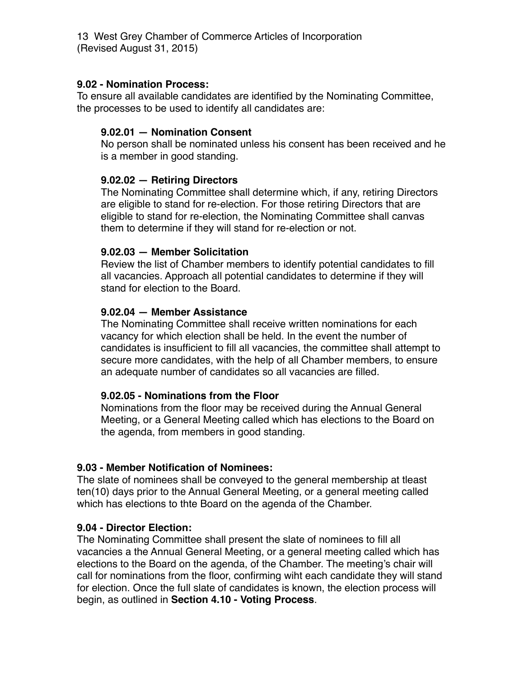#### **9.02 - Nomination Process:**

To ensure all available candidates are identified by the Nominating Committee, the processes to be used to identify all candidates are:

#### **9.02.01 — Nomination Consent**

No person shall be nominated unless his consent has been received and he is a member in good standing.

#### **9.02.02 — Retiring Directors**

The Nominating Committee shall determine which, if any, retiring Directors are eligible to stand for re-election. For those retiring Directors that are eligible to stand for re-election, the Nominating Committee shall canvas them to determine if they will stand for re-election or not.

#### **9.02.03 — Member Solicitation**

Review the list of Chamber members to identify potential candidates to fill all vacancies. Approach all potential candidates to determine if they will stand for election to the Board.

#### **9.02.04 — Member Assistance**

The Nominating Committee shall receive written nominations for each vacancy for which election shall be held. In the event the number of candidates is insufficient to fill all vacancies, the committee shall attempt to secure more candidates, with the help of all Chamber members, to ensure an adequate number of candidates so all vacancies are filled.

#### **9.02.05 - Nominations from the Floor**

Nominations from the floor may be received during the Annual General Meeting, or a General Meeting called which has elections to the Board on the agenda, from members in good standing.

#### **9.03 - Member Notification of Nominees:**

The slate of nominees shall be conveyed to the general membership at tleast ten(10) days prior to the Annual General Meeting, or a general meeting called which has elections to thte Board on the agenda of the Chamber.

#### **9.04 - Director Election:**

The Nominating Committee shall present the slate of nominees to fill all vacancies a the Annual General Meeting, or a general meeting called which has elections to the Board on the agenda, of the Chamber. The meeting's chair will call for nominations from the floor, confirming wiht each candidate they will stand for election. Once the full slate of candidates is known, the election process will begin, as outlined in **Section 4.10 - Voting Process**.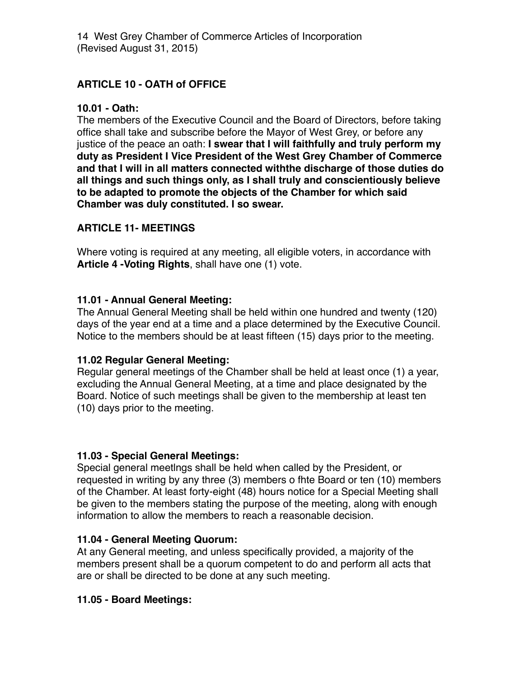# **ARTICLE 10 - OATH of OFFICE**

# **10.01 - Oath:**

The members of the Executive Council and the Board of Directors, before taking office shall take and subscribe before the Mayor of West Grey, or before any justice of the peace an oath: **I swear that I will faithfully and truly perform my duty as President I Vice President of the West Grey Chamber of Commerce and that I will in all matters connected withthe discharge of those duties do all things and such things only, as I shall truly and conscientiously believe to be adapted to promote the objects of the Chamber for which said Chamber was duly constituted. I so swear.**

# **ARTICLE 11- MEETINGS**

Where voting is required at any meeting, all eligible voters, in accordance with **Article 4 -Voting Rights**, shall have one (1) vote.

# **11.01 - Annual General Meeting:**

The Annual General Meeting shall be held within one hundred and twenty (120) days of the year end at a time and a place determined by the Executive Council. Notice to the members should be at least fifteen (15) days prior to the meeting.

# **11.02 Regular General Meeting:**

Regular general meetings of the Chamber shall be held at least once (1) a year, excluding the Annual General Meeting, at a time and place designated by the Board. Notice of such meetings shall be given to the membership at least ten (10) days prior to the meeting.

# **11.03 - Special General Meetings:**

Special general meetlngs shall be held when called by the President, or requested in writing by any three (3) members o fhte Board or ten (10) members of the Chamber. At least forty-eight (48) hours notice for a Special Meeting shall be given to the members stating the purpose of the meeting, along with enough information to allow the members to reach a reasonable decision.

# **11.04 - General Meeting Quorum:**

At any General meeting, and unless specifically provided, a majority of the members present shall be a quorum competent to do and perform all acts that are or shall be directed to be done at any such meeting.

# **11.05 - Board Meetings:**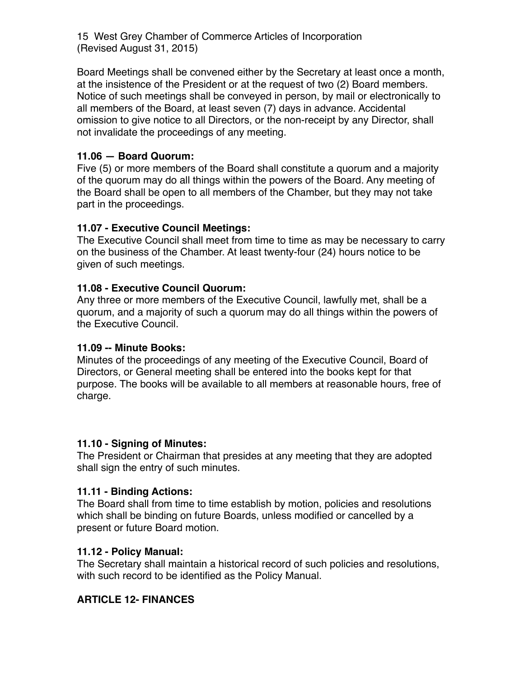Board Meetings shall be convened either by the Secretary at least once a month, at the insistence of the President or at the request of two (2) Board members. Notice of such meetings shall be conveyed in person, by mail or electronically to all members of the Board, at least seven (7) days in advance. Accidental omission to give notice to all Directors, or the non-receipt by any Director, shall not invalidate the proceedings of any meeting.

# **11.06 — Board Quorum:**

Five (5) or more members of the Board shall constitute a quorum and a majority of the quorum may do all things within the powers of the Board. Any meeting of the Board shall be open to all members of the Chamber, but they may not take part in the proceedings.

# **11.07 - Executive Council Meetings:**

The Executive Council shall meet from time to time as may be necessary to carry on the business of the Chamber. At least twenty-four (24) hours notice to be given of such meetings.

# **11.08 - Executive Council Quorum:**

Any three or more members of the Executive Council, lawfully met, shall be a quorum, and a majority of such a quorum may do all things within the powers of the Executive Council.

# **11.09 -- Minute Books:**

Minutes of the proceedings of any meeting of the Executive Council, Board of Directors, or General meeting shall be entered into the books kept for that purpose. The books will be available to all members at reasonable hours, free of charge.

# **11.10 - Signing of Minutes:**

The President or Chairman that presides at any meeting that they are adopted shall sign the entry of such minutes.

# **11.11 - Binding Actions:**

The Board shall from time to time establish by motion, policies and resolutions which shall be binding on future Boards, unless modified or cancelled by a present or future Board motion.

# **11.12 - Policy Manual:**

The Secretary shall maintain a historical record of such policies and resolutions, with such record to be identified as the Policy Manual.

# **ARTICLE 12- FINANCES**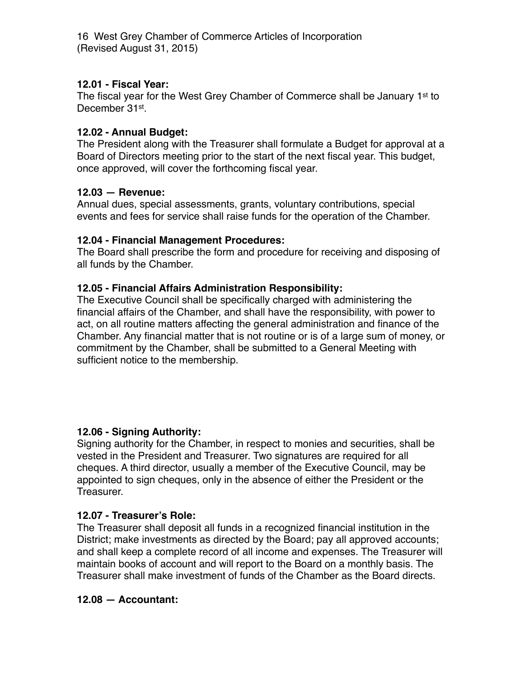#### **12.01 - Fiscal Year:**

The fiscal year for the West Grey Chamber of Commerce shall be January 1<sup>st</sup> to December 31<sup>st</sup>.

#### **12.02 - Annual Budget:**

The President along with the Treasurer shall formulate a Budget for approval at a Board of Directors meeting prior to the start of the next fiscal year. This budget, once approved, will cover the forthcoming fiscal year.

#### **12.03 — Revenue:**

Annual dues, special assessments, grants, voluntary contributions, special events and fees for service shall raise funds for the operation of the Chamber.

#### **12.04 - Financial Management Procedures:**

The Board shall prescribe the form and procedure for receiving and disposing of all funds by the Chamber.

#### **12.05 - Financial Affairs Administration Responsibility:**

The Executive Council shall be specifically charged with administering the financial affairs of the Chamber, and shall have the responsibility, with power to act, on all routine matters affecting the general administration and finance of the Chamber. Any financial matter that is not routine or is of a large sum of money, or commitment by the Chamber, shall be submitted to a General Meeting with sufficient notice to the membership.

#### **12.06 - Signing Authority:**

Signing authority for the Chamber, in respect to monies and securities, shall be vested in the President and Treasurer. Two signatures are required for all cheques. A third director, usually a member of the Executive Council, may be appointed to sign cheques, only in the absence of either the President or the Treasurer.

# **12.07 - Treasurer's Role:**

The Treasurer shall deposit all funds in a recognized financial institution in the District; make investments as directed by the Board; pay all approved accounts; and shall keep a complete record of all income and expenses. The Treasurer will maintain books of account and will report to the Board on a monthly basis. The Treasurer shall make investment of funds of the Chamber as the Board directs.

#### **12.08 — Accountant:**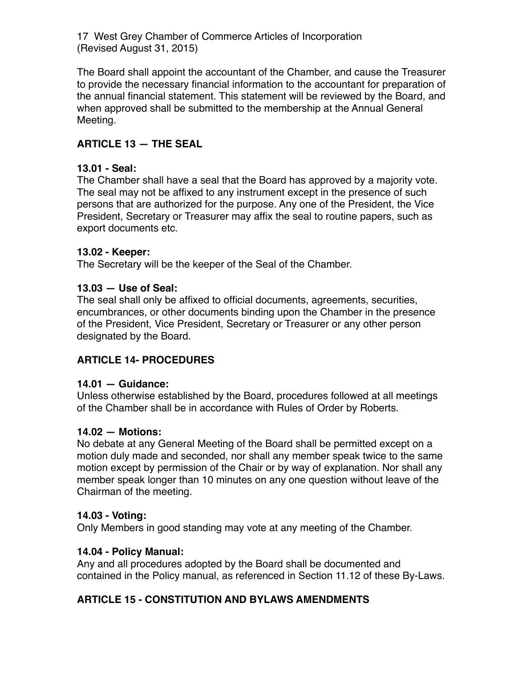The Board shall appoint the accountant of the Chamber, and cause the Treasurer to provide the necessary financial information to the accountant for preparation of the annual financial statement. This statement will be reviewed by the Board, and when approved shall be submitted to the membership at the Annual General Meeting.

# **ARTICLE 13 — THE SEAL**

# **13.01 - Seal:**

The Chamber shall have a seal that the Board has approved by a majority vote. The seal may not be affixed to any instrument except in the presence of such persons that are authorized for the purpose. Any one of the President, the Vice President, Secretary or Treasurer may affix the seal to routine papers, such as export documents etc.

#### **13.02 - Keeper:**

The Secretary will be the keeper of the Seal of the Chamber.

#### **13.03 — Use of Seal:**

The seal shall only be affixed to official documents, agreements, securities, encumbrances, or other documents binding upon the Chamber in the presence of the President, Vice President, Secretary or Treasurer or any other person designated by the Board.

# **ARTICLE 14- PROCEDURES**

#### **14.01 — Guidance:**

Unless otherwise established by the Board, procedures followed at all meetings of the Chamber shall be in accordance with Rules of Order by Roberts.

#### **14.02 — Motions:**

No debate at any General Meeting of the Board shall be permitted except on a motion duly made and seconded, nor shall any member speak twice to the same motion except by permission of the Chair or by way of explanation. Nor shall any member speak longer than 10 minutes on any one question without leave of the Chairman of the meeting.

#### **14.03 - Voting:**

Only Members in good standing may vote at any meeting of the Chamber.

#### **14.04 - Policy Manual:**

Any and all procedures adopted by the Board shall be documented and contained in the Policy manual, as referenced in Section 11.12 of these By-Laws.

# **ARTICLE 15 - CONSTITUTION AND BYLAWS AMENDMENTS**